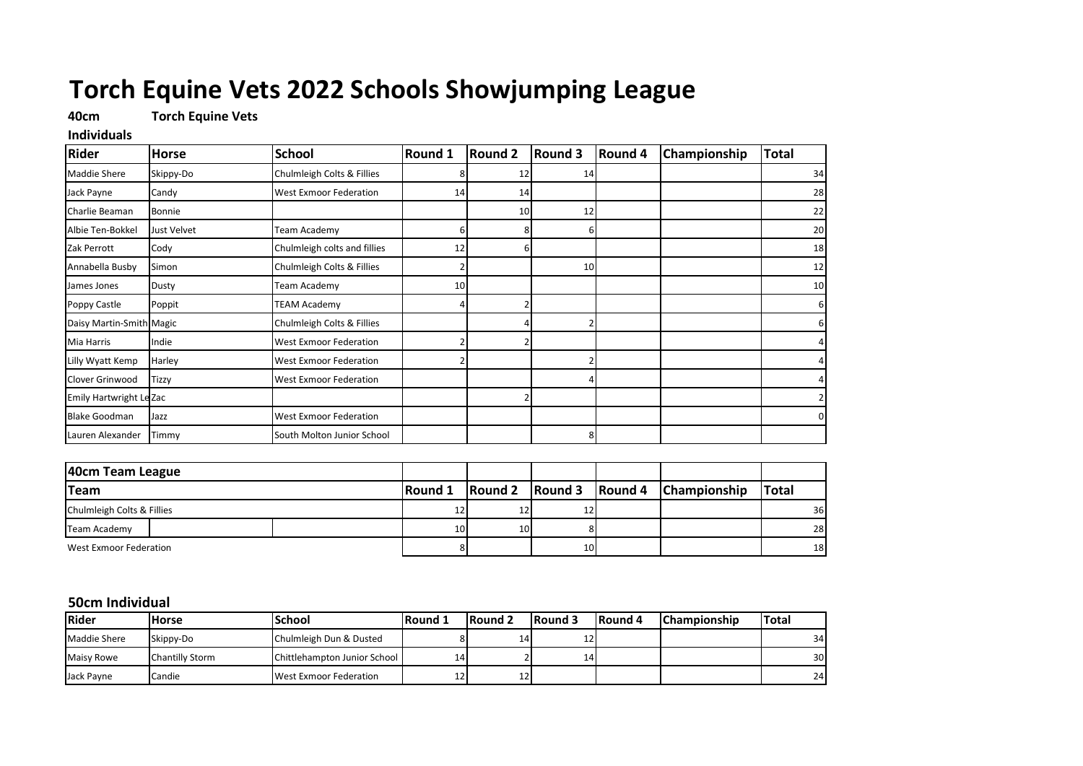# **Torch Equine Vets 2022 Schools Showjumping League**

## **40cm Torch Equine Vets**

#### **Individuals**

| <b>Rider</b>             | <b>Horse</b> | <b>School</b>                 | <b>Round 1</b> | <b>Round 2</b>  | Round 3         | <b>Round 4</b> | Championship | <b>Total</b> |
|--------------------------|--------------|-------------------------------|----------------|-----------------|-----------------|----------------|--------------|--------------|
| <b>Maddie Shere</b>      | Skippy-Do    | Chulmleigh Colts & Fillies    |                | 12              | 14              |                |              | 34           |
| Jack Payne               | Candy        | <b>West Exmoor Federation</b> | 14             | 14              |                 |                |              | 28           |
| Charlie Beaman           | Bonnie       |                               |                | 10 <sup>1</sup> | 12              |                |              | 22           |
| Albie Ten-Bokkel         | Just Velvet  | Team Academy                  | 6              |                 |                 |                |              | 20           |
| Zak Perrott              | Cody         | Chulmleigh colts and fillies  | 12             |                 |                 |                |              | 18           |
| Annabella Busby          | Simon        | Chulmleigh Colts & Fillies    |                |                 | 10 <sup>1</sup> |                |              | 12           |
| James Jones              | Dusty        | Team Academy                  | 10             |                 |                 |                |              | 10           |
| Poppy Castle             | Poppit       | TEAM Academy                  |                |                 |                 |                |              | 6            |
| Daisy Martin-Smith Magic |              | Chulmleigh Colts & Fillies    |                |                 |                 |                |              |              |
| Mia Harris               | Indie        | <b>West Exmoor Federation</b> |                |                 |                 |                |              |              |
| Lilly Wyatt Kemp         | Harley       | <b>West Exmoor Federation</b> |                |                 |                 |                |              |              |
| Clover Grinwood          | <b>Tizzy</b> | <b>West Exmoor Federation</b> |                |                 |                 |                |              |              |
| Emily Hartwright Le Zac  |              |                               |                |                 |                 |                |              |              |
| <b>Blake Goodman</b>     | Jazz         | <b>West Exmoor Federation</b> |                |                 |                 |                |              | 0            |
| Lauren Alexander         | Timmy        | South Molton Junior School    |                |                 | 8               |                |              |              |

| 40cm Team League           |  |                 |                 |    |                                      |              |
|----------------------------|--|-----------------|-----------------|----|--------------------------------------|--------------|
| <b>Team</b>                |  | <b>Round 1</b>  |                 |    | Round 2 Round 3 Round 4 Championship | <b>Total</b> |
| Chulmleigh Colts & Fillies |  | 12 <sub>l</sub> | 12              | ∸  |                                      | 36           |
| Team Academy               |  | 10 <sup>1</sup> | 10 <sup>1</sup> |    |                                      | 28           |
| West Exmoor Federation     |  |                 |                 | 10 |                                      | 18           |

#### **50cm Individual**

| <b>Rider</b>        | Horse           | School                          | <b>Round</b> 1  | Round 2 | <b>IRound 3</b> | <b>IRound 4</b> | <b>IChampionship</b> | <b>Total</b> |
|---------------------|-----------------|---------------------------------|-----------------|---------|-----------------|-----------------|----------------------|--------------|
| <b>Maddie Shere</b> | Skippy-Do       | Chulmleigh Dun & Dusted         |                 | 14      | ᅭ               |                 |                      | 34           |
| <b>Maisy Rowe</b>   | Chantilly Storm | Chittlehampton Junior School    | 14'             |         | 14 <sup>1</sup> |                 |                      | 30           |
| Jack Payne          | Candie          | <b>I</b> West Exmoor Federation | 12 <sup>1</sup> | 121     |                 |                 |                      | 24           |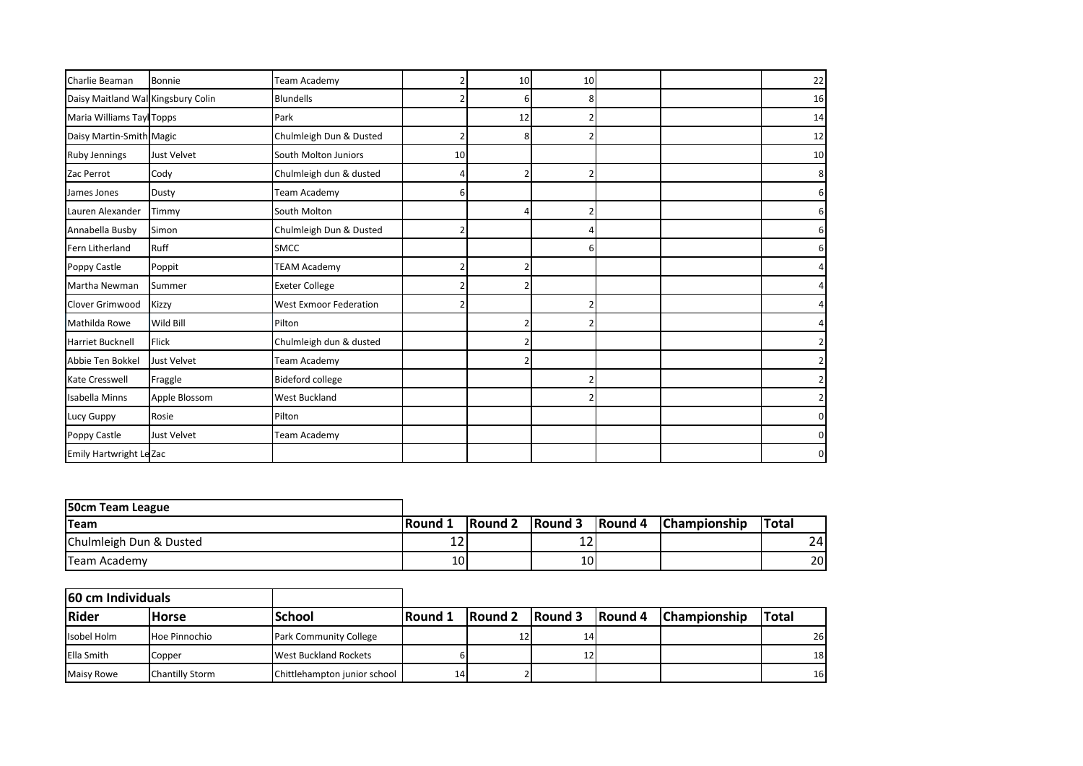| Charlie Beaman                     | Bonnie             | Team Academy                  |    | 10 <sup>1</sup> | 10 |  | 22            |
|------------------------------------|--------------------|-------------------------------|----|-----------------|----|--|---------------|
| Daisy Maitland Wal Kingsbury Colin |                    | <b>Blundells</b>              |    |                 |    |  | 16            |
| Maria Williams Tay Topps           |                    | Park                          |    | 12              |    |  | 14            |
| Daisy Martin-Smith Magic           |                    | Chulmleigh Dun & Dusted       |    | 8               |    |  | 12            |
| <b>Ruby Jennings</b>               | <b>Just Velvet</b> | South Molton Juniors          | 10 |                 |    |  | 10            |
| Zac Perrot                         | Cody               | Chulmleigh dun & dusted       |    | 2               |    |  | 8             |
| James Jones                        | Dusty              | Team Academy                  | 6  |                 |    |  | 6             |
| Lauren Alexander                   | Timmy              | South Molton                  |    |                 |    |  | 6             |
| Annabella Busby                    | Simon              | Chulmleigh Dun & Dusted       |    |                 |    |  | 6             |
| Fern Litherland                    | Ruff               | <b>SMCC</b>                   |    |                 |    |  | 6             |
| Poppy Castle                       | Poppit             | <b>TEAM Academy</b>           |    |                 |    |  |               |
| Martha Newman                      | Summer             | <b>Exeter College</b>         |    |                 |    |  |               |
| Clover Grimwood                    | <b>Kizzy</b>       | <b>West Exmoor Federation</b> |    |                 |    |  |               |
| Mathilda Rowe                      | Wild Bill          | Pilton                        |    |                 |    |  |               |
| <b>Harriet Bucknell</b>            | Flick              | Chulmleigh dun & dusted       |    |                 |    |  |               |
| Abbie Ten Bokkel                   | Just Velvet        | Team Academy                  |    |                 |    |  | $\mathcal{P}$ |
| Kate Cresswell                     | Fraggle            | <b>Bideford college</b>       |    |                 |    |  |               |
| <b>Isabella Minns</b>              | Apple Blossom      | <b>West Buckland</b>          |    |                 |    |  | ົາ            |
| Lucy Guppy                         | Rosie              | Pilton                        |    |                 |    |  | 0             |
| Poppy Castle                       | <b>Just Velvet</b> | Team Academy                  |    |                 |    |  | $\mathbf{0}$  |
| Emily Hartwright Le Zac            |                    |                               |    |                 |    |  | 0             |

| 50cm Team League        |                 |                |         |                 |                     |                 |
|-------------------------|-----------------|----------------|---------|-----------------|---------------------|-----------------|
| <b>ITeam</b>            | <b>IRound 1</b> | <b>Round 2</b> | Round 3 | <b>IRound 4</b> | <b>Championship</b> | <b>ITotal</b>   |
| Chulmleigh Dun & Dusted | າ ^<br>⊥∠       |                | ∸∸      |                 |                     | 24 <sup>1</sup> |
| Team Academy            | 10              |                | 10I     |                 |                     | 20              |

| 60 cm Individuals |                 |                               |                |                 |         |         |                     |              |
|-------------------|-----------------|-------------------------------|----------------|-----------------|---------|---------|---------------------|--------------|
| <b>Rider</b>      | <b>Horse</b>    | <b>School</b>                 | <b>Round 1</b> | <b>Round 2</b>  | Round 3 | Round 4 | <b>Championship</b> | <b>Total</b> |
| Isobel Holm       | Hoe Pinnochio   | <b>Park Community College</b> |                | 12 <sub>l</sub> | 14      |         |                     | 26           |
| <b>Ella Smith</b> | Copper          | West Buckland Rockets         |                |                 | 12      |         |                     | 18           |
| <b>Maisy Rowe</b> | Chantilly Storm | Chittlehampton junior school  | 14             |                 |         |         |                     | 16           |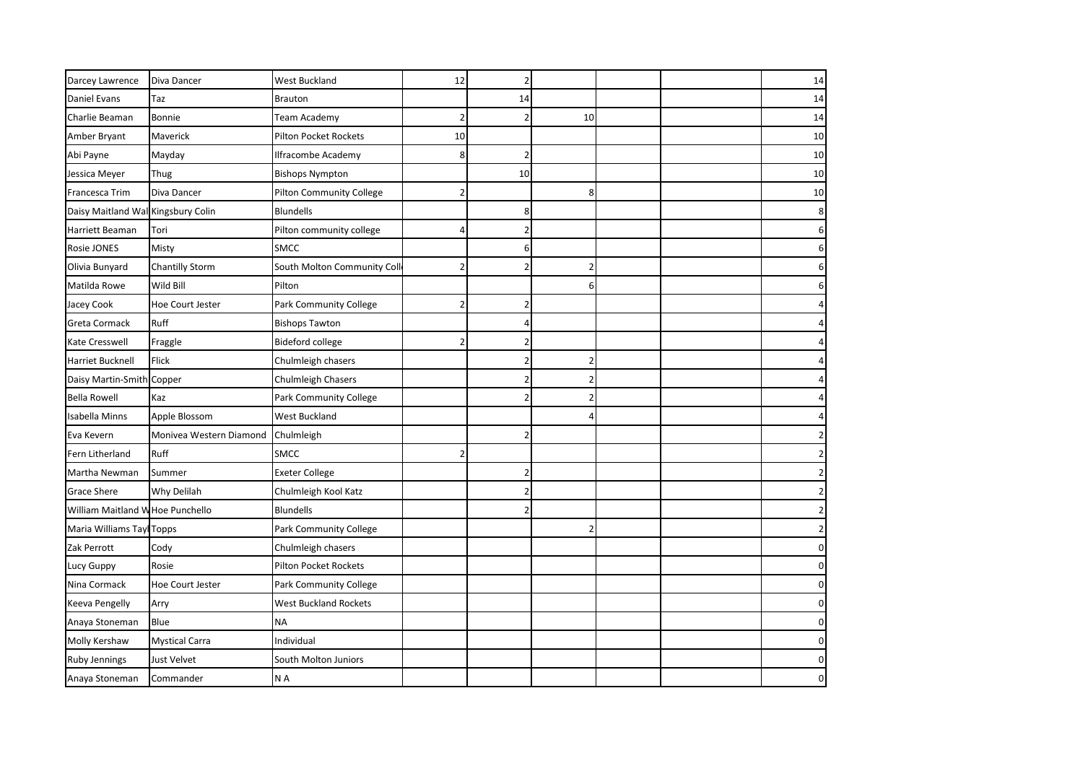| Darcey Lawrence                    | Diva Dancer             | West Buckland                   | 12             |    |                |  | 14 |
|------------------------------------|-------------------------|---------------------------------|----------------|----|----------------|--|----|
| Daniel Evans                       | Taz                     | <b>Brauton</b>                  |                | 14 |                |  | 14 |
| Charlie Beaman                     | Bonnie                  | Team Academy                    |                |    | 10             |  | 14 |
| Amber Bryant                       | Maverick                | <b>Pilton Pocket Rockets</b>    | 10             |    |                |  | 10 |
| Abi Payne                          | Mayday                  | <b>Ilfracombe Academy</b>       | 8              | 2  |                |  | 10 |
| Jessica Meyer                      | Thug                    | <b>Bishops Nympton</b>          |                | 10 |                |  | 10 |
| Francesca Trim                     | Diva Dancer             | <b>Pilton Community College</b> | $\overline{2}$ |    | 8              |  | 10 |
| Daisy Maitland Wal Kingsbury Colin |                         | <b>Blundells</b>                |                | 8  |                |  | 8  |
| Harriett Beaman                    | Tori                    | Pilton community college        | 4              |    |                |  | 6  |
| Rosie JONES                        | Misty                   | SMCC                            |                | 6  |                |  |    |
| Olivia Bunyard                     | <b>Chantilly Storm</b>  | South Molton Community Coll     | 2              |    | 2              |  |    |
| Matilda Rowe                       | Wild Bill               | Pilton                          |                |    | 6              |  |    |
| Jacey Cook                         | Hoe Court Jester        | Park Community College          | $\overline{2}$ | 2  |                |  |    |
| Greta Cormack                      | Ruff                    | <b>Bishops Tawton</b>           |                |    |                |  |    |
| Kate Cresswell                     | Fraggle                 | <b>Bideford college</b>         | $\overline{2}$ |    |                |  |    |
| Harriet Bucknell                   | Flick                   | Chulmleigh chasers              |                |    | $\overline{2}$ |  |    |
| Daisy Martin-Smith                 | Copper                  | Chulmleigh Chasers              |                |    | 2              |  |    |
| <b>Bella Rowell</b>                | Kaz                     | Park Community College          |                |    | $\overline{2}$ |  |    |
| Isabella Minns                     | Apple Blossom           | West Buckland                   |                |    |                |  |    |
| Eva Kevern                         | Monivea Western Diamond | Chulmleigh                      |                |    |                |  |    |
| Fern Litherland                    | Ruff                    | <b>SMCC</b>                     | $\overline{2}$ |    |                |  |    |
| Martha Newman                      | Summer                  | <b>Exeter College</b>           |                |    |                |  |    |
| <b>Grace Shere</b>                 | Why Delilah             | Chulmleigh Kool Katz            |                |    |                |  |    |
| William Maitland W Hoe Punchello   |                         | <b>Blundells</b>                |                |    |                |  |    |
| Maria Williams Tayl Topps          |                         | Park Community College          |                |    | 2              |  |    |
| Zak Perrott                        | Cody                    | Chulmleigh chasers              |                |    |                |  |    |
| Lucy Guppy                         | Rosie                   | Pilton Pocket Rockets           |                |    |                |  |    |
| Nina Cormack                       | Hoe Court Jester        | Park Community College          |                |    |                |  | 0  |
| Keeva Pengelly                     | Arry                    | <b>West Buckland Rockets</b>    |                |    |                |  |    |
| Anaya Stoneman                     | Blue                    | <b>NA</b>                       |                |    |                |  | 0  |
| Molly Kershaw                      | <b>Mystical Carra</b>   | Individual                      |                |    |                |  | 0  |
| <b>Ruby Jennings</b>               | Just Velvet             | South Molton Juniors            |                |    |                |  | 0  |
| Anaya Stoneman                     | Commander               | N A                             |                |    |                |  |    |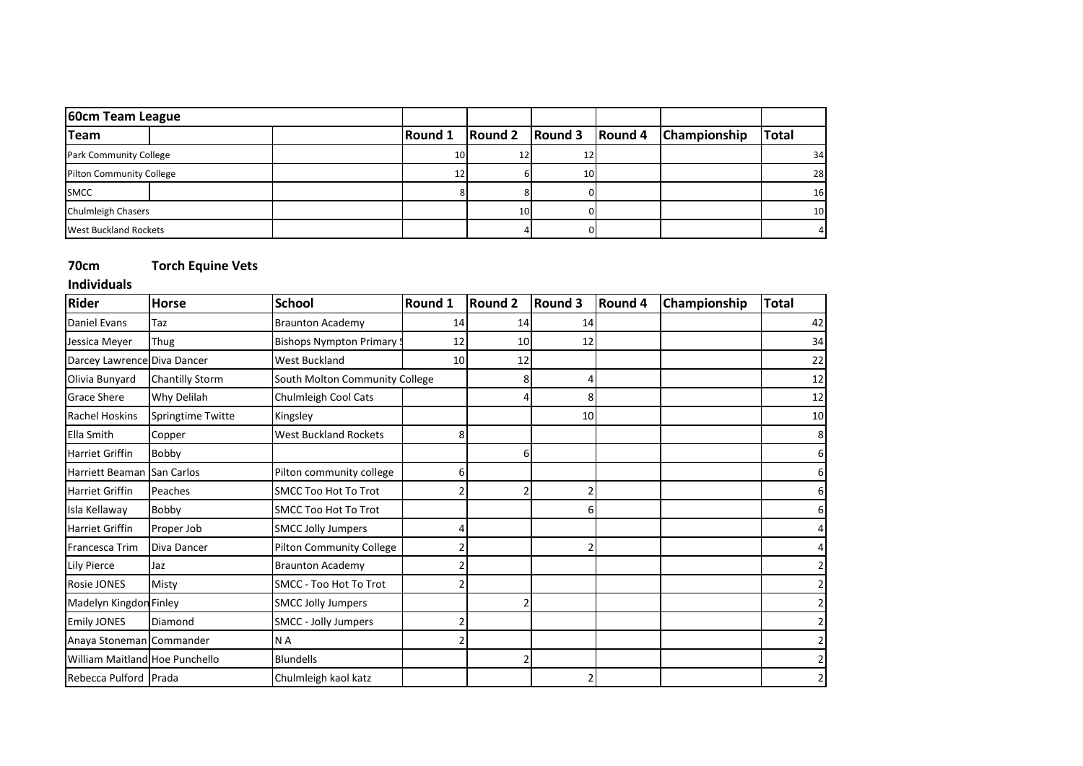| 60cm Team League                |  |                 |                                    |     |                |              |              |
|---------------------------------|--|-----------------|------------------------------------|-----|----------------|--------------|--------------|
| <b>Team</b>                     |  | Round 1         | $\sqrt{$ Round 2 $\sqrt{}$ Round 3 |     | <b>Round 4</b> | Championship | <b>Total</b> |
| Park Community College          |  | 10 <sup>1</sup> | 12                                 |     |                |              | 34           |
| <b>Pilton Community College</b> |  |                 |                                    | 10I |                |              | 28           |
| <b>SMCC</b>                     |  |                 |                                    |     |                |              | 16           |
| <b>Chulmleigh Chasers</b>       |  |                 | 10 <sup>1</sup>                    |     |                |              | 10           |
| <b>West Buckland Rockets</b>    |  |                 |                                    |     |                |              |              |

### **70cm Torch Equine Vets**

**Individuals**

| <b>Rider</b>                   | <b>Horse</b>           | <b>School</b>                   | Round 1 | <b>Round 2</b> | <b>Round 3</b>  | Round 4 | Championship | <b>Total</b> |
|--------------------------------|------------------------|---------------------------------|---------|----------------|-----------------|---------|--------------|--------------|
| Daniel Evans                   | Taz                    | <b>Braunton Academy</b>         | 14      | 14             | 14              |         |              | 42           |
| Jessica Meyer                  | Thug                   | <b>Bishops Nympton Primary</b>  | 12      | 10             | 12              |         |              | 34           |
| Darcey Lawrence Diva Dancer    |                        | <b>West Buckland</b>            | 10      | 12             |                 |         |              | 22           |
| Olivia Bunyard                 | <b>Chantilly Storm</b> | South Molton Community College  |         |                |                 |         |              | 12           |
| <b>Grace Shere</b>             | Why Delilah            | Chulmleigh Cool Cats            |         |                |                 |         |              | 12           |
| <b>Rachel Hoskins</b>          | Springtime Twitte      | Kingsley                        |         |                | 10 <sup>1</sup> |         |              | 10           |
| Ella Smith                     | Copper                 | <b>West Buckland Rockets</b>    | 8       |                |                 |         |              | 8            |
| <b>Harriet Griffin</b>         | Bobby                  |                                 |         | 6              |                 |         |              | 6            |
| Harriett Beaman San Carlos     |                        | Pilton community college        | 6       |                |                 |         |              | 6            |
| <b>Harriet Griffin</b>         | Peaches                | <b>SMCC Too Hot To Trot</b>     |         |                |                 |         |              | 6            |
| Isla Kellaway                  | Bobby                  | <b>SMCC Too Hot To Trot</b>     |         |                |                 |         |              | 6            |
| Harriet Griffin                | Proper Job             | <b>SMCC Jolly Jumpers</b>       |         |                |                 |         |              |              |
| Francesca Trim                 | Diva Dancer            | <b>Pilton Community College</b> |         |                |                 |         |              |              |
| <b>Lily Pierce</b>             | Jaz                    | <b>Braunton Academy</b>         |         |                |                 |         |              |              |
| Rosie JONES                    | Misty                  | <b>SMCC - Too Hot To Trot</b>   |         |                |                 |         |              |              |
| Madelyn Kingdon Finley         |                        | <b>SMCC Jolly Jumpers</b>       |         |                |                 |         |              |              |
| <b>Emily JONES</b>             | Diamond                | SMCC - Jolly Jumpers            |         |                |                 |         |              |              |
| Anaya Stoneman Commander       |                        | N A                             |         |                |                 |         |              |              |
| William Maitland Hoe Punchello |                        | <b>Blundells</b>                |         |                |                 |         |              |              |
| Rebecca Pulford Prada          |                        | Chulmleigh kaol katz            |         |                |                 |         |              |              |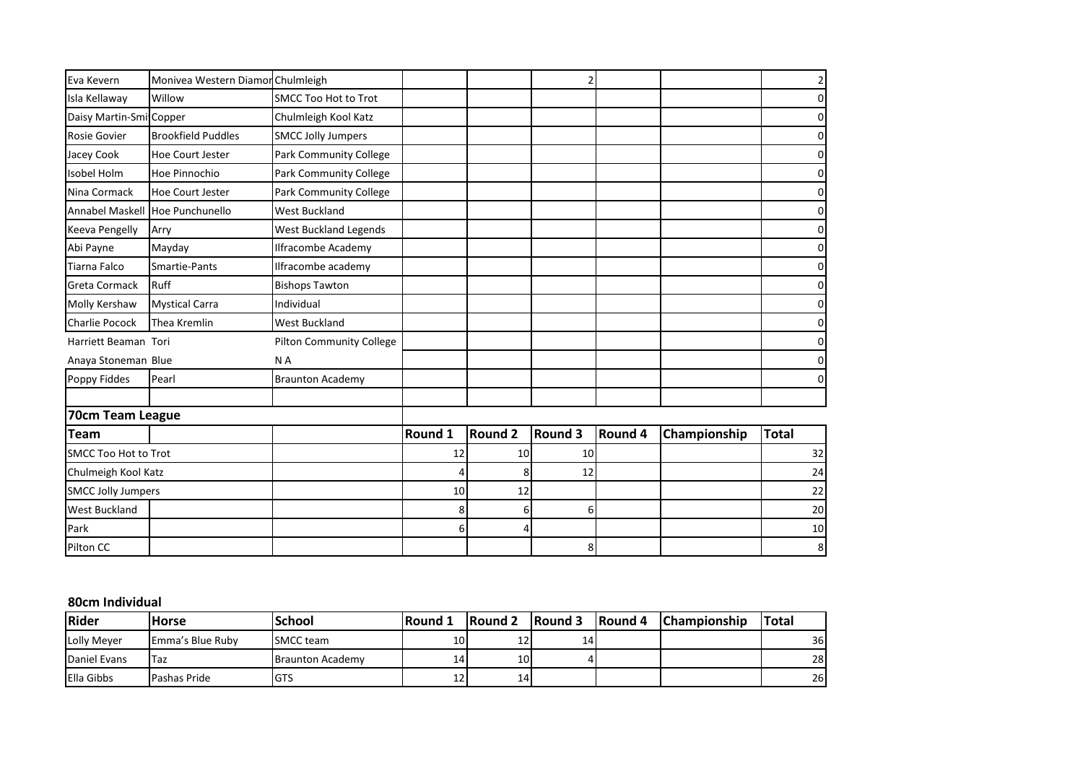| Eva Kevern                  | Monivea Western Diamor Chulmleigh |                                 |         |                 |         |         |              | 2            |
|-----------------------------|-----------------------------------|---------------------------------|---------|-----------------|---------|---------|--------------|--------------|
| Isla Kellaway               | Willow                            | <b>SMCC Too Hot to Trot</b>     |         |                 |         |         |              | 0            |
| Daisy Martin-Smi Copper     |                                   | Chulmleigh Kool Katz            |         |                 |         |         |              | 0            |
| Rosie Govier                | <b>Brookfield Puddles</b>         | <b>SMCC Jolly Jumpers</b>       |         |                 |         |         |              | 0            |
| Jacey Cook                  | <b>Hoe Court Jester</b>           | Park Community College          |         |                 |         |         |              | 0            |
| Isobel Holm                 | Hoe Pinnochio                     | Park Community College          |         |                 |         |         |              | 0            |
| Nina Cormack                | Hoe Court Jester                  | Park Community College          |         |                 |         |         |              | 0            |
| <b>Annabel Maskell</b>      | Hoe Punchunello                   | <b>West Buckland</b>            |         |                 |         |         |              | 0            |
| <b>Keeva Pengelly</b>       | Arry                              | <b>West Buckland Legends</b>    |         |                 |         |         |              | 0            |
| Abi Payne                   | Mayday                            | Ilfracombe Academy              |         |                 |         |         |              | 0            |
| Tiarna Falco                | Smartie-Pants                     | Ilfracombe academy              |         |                 |         |         |              | 0            |
| Greta Cormack               | <b>Ruff</b>                       | <b>Bishops Tawton</b>           |         |                 |         |         |              | 0            |
| Molly Kershaw               | <b>Mystical Carra</b>             | Individual                      |         |                 |         |         |              | 0            |
| Charlie Pocock              | Thea Kremlin                      | <b>West Buckland</b>            |         |                 |         |         |              | 0            |
| Harriett Beaman Tori        |                                   | <b>Pilton Community College</b> |         |                 |         |         |              | 0            |
| Anaya Stoneman Blue         |                                   | N A                             |         |                 |         |         |              | ŋ            |
| Poppy Fiddes                | Pearl                             | <b>Braunton Academy</b>         |         |                 |         |         |              | O            |
|                             |                                   |                                 |         |                 |         |         |              |              |
| 70cm Team League            |                                   |                                 |         |                 |         |         |              |              |
| <b>Team</b>                 |                                   |                                 | Round 1 | <b>Round 2</b>  | Round 3 | Round 4 | Championship | <b>Total</b> |
| <b>SMCC Too Hot to Trot</b> |                                   |                                 | 12      | 10 <sup>1</sup> | 10      |         |              | 32           |
| Chulmeigh Kool Katz         |                                   |                                 |         | 8               | 12      |         |              | 24           |
| <b>SMCC Jolly Jumpers</b>   |                                   |                                 | 10      | 12              |         |         |              | 22           |
| <b>West Buckland</b>        |                                   |                                 | 8       | 6               | 6       |         |              | 20           |
| Park                        |                                   |                                 | 6       | 4               |         |         |              | 10           |
| Pilton CC                   |                                   |                                 |         |                 | 8       |         |              | 8            |

#### **80cm Individual**

| Rider             | <b>Horse</b>     | <b>School</b>           | l Round         | <b>Round 2</b> | <b>Round 3</b> | <b>Round 4</b> | <b>Championship</b> | <b>ITotal</b> |
|-------------------|------------------|-------------------------|-----------------|----------------|----------------|----------------|---------------------|---------------|
| Lolly Mever       | Emma's Blue Ruby | <b>ISMCC</b> team       | 10 <sup>1</sup> | ᅭ              | 14'            |                |                     | 36            |
| Daniel Evans      | Taz              | <b>Braunton Academy</b> | 14              | 10I            |                |                |                     | 28            |
| <b>Ella Gibbs</b> | Pashas Pride     | <b>I</b> GTS            | ᆠ               | 14             |                |                |                     | 26            |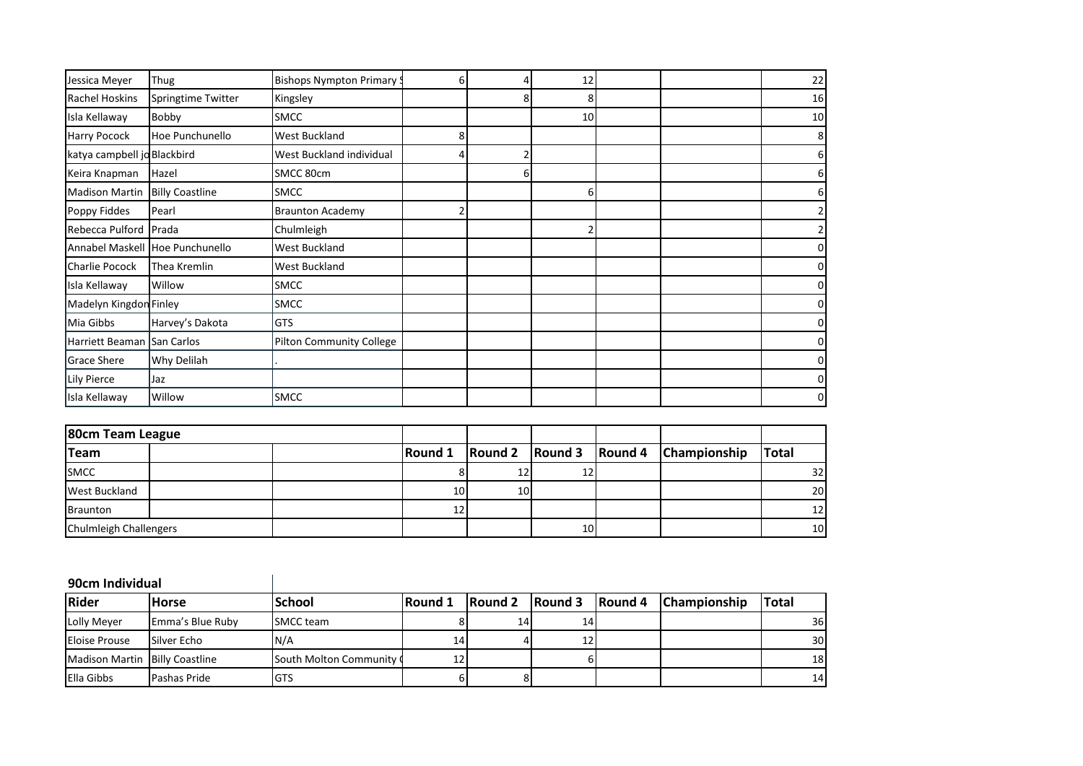| Jessica Meyer               | Thug                            | <b>Bishops Nympton Primary 9</b> | 6 |   | 12              |  | 22             |
|-----------------------------|---------------------------------|----------------------------------|---|---|-----------------|--|----------------|
| <b>Rachel Hoskins</b>       | Springtime Twitter              | Kingsley                         |   | 8 | 8               |  | 16             |
| Isla Kellaway               | Bobby                           | <b>SMCC</b>                      |   |   | 10 <sup>1</sup> |  | 10             |
| Harry Pocock                | Hoe Punchunello                 | <b>West Buckland</b>             | 8 |   |                 |  | 8 <sup>1</sup> |
| katya campbell jo Blackbird |                                 | West Buckland individual         |   |   |                 |  | 6              |
| Keira Knapman               | Hazel                           | SMCC 80cm                        |   | 6 |                 |  | 6              |
| <b>Madison Martin</b>       | <b>Billy Coastline</b>          | <b>SMCC</b>                      |   |   |                 |  | 6              |
| Poppy Fiddes                | Pearl                           | <b>Braunton Academy</b>          |   |   |                 |  | $\overline{2}$ |
| Rebecca Pulford Prada       |                                 | Chulmleigh                       |   |   |                 |  | $\overline{2}$ |
|                             | Annabel Maskell Hoe Punchunello | <b>West Buckland</b>             |   |   |                 |  | $\overline{0}$ |
| Charlie Pocock              | Thea Kremlin                    | <b>West Buckland</b>             |   |   |                 |  | $\overline{0}$ |
| Isla Kellaway               | Willow                          | <b>SMCC</b>                      |   |   |                 |  | $\overline{0}$ |
| Madelyn Kingdon Finley      |                                 | <b>SMCC</b>                      |   |   |                 |  | $\overline{0}$ |
| Mia Gibbs                   | Harvey's Dakota                 | <b>GTS</b>                       |   |   |                 |  | 0              |
| Harriett Beaman San Carlos  |                                 | <b>Pilton Community College</b>  |   |   |                 |  | $\overline{0}$ |
| Grace Shere                 | Why Delilah                     |                                  |   |   |                 |  | $\overline{0}$ |
| Lily Pierce                 | Jaz                             |                                  |   |   |                 |  | $\overline{0}$ |
| Isla Kellaway               | Willow                          | <b>SMCC</b>                      |   |   |                 |  | $\overline{0}$ |

| 80cm Team League              |  |                |           |     |                                                                             |              |
|-------------------------------|--|----------------|-----------|-----|-----------------------------------------------------------------------------|--------------|
| <b>Team</b>                   |  | <b>Round 1</b> |           |     | $\sqrt{$ Round 2 $\sqrt{}$ Round 3 $\sqrt{}$ Round 4 $\sqrt{}$ Championship | <b>Total</b> |
| <b>SMCC</b>                   |  |                | 12        | 12  |                                                                             | 32           |
| <b>West Buckland</b>          |  | 10I            | <b>10</b> |     |                                                                             | 20           |
| <b>Braunton</b>               |  | 12             |           |     |                                                                             | 12           |
| <b>Chulmleigh Challengers</b> |  |                |           | 10I |                                                                             | 10           |

**90cm Individual**

 $\overline{\phantom{a}}$ 

| Rider                          | <b>Horse</b>     | <b>School</b>            | <b>Round 1</b>  | <b>IRound 2</b> | <b>IRound 3</b> | <b>Round 4</b> | <b>Championship</b> | <b>ITotal</b> |
|--------------------------------|------------------|--------------------------|-----------------|-----------------|-----------------|----------------|---------------------|---------------|
| Lolly Mever                    | Emma's Blue Ruby | <b>SMCC</b> team         |                 | 14              | 14              |                |                     | 36            |
| <b>Eloise Prouse</b>           | Silver Echo      | N/A                      | 14 <sub>1</sub> |                 |                 |                |                     | 30            |
| Madison Martin Billy Coastline |                  | South Molton Community ( |                 |                 |                 |                |                     | 18            |
| <b>Ella Gibbs</b>              | Pashas Pride     | <b>GTS</b>               |                 |                 |                 |                |                     | 14            |